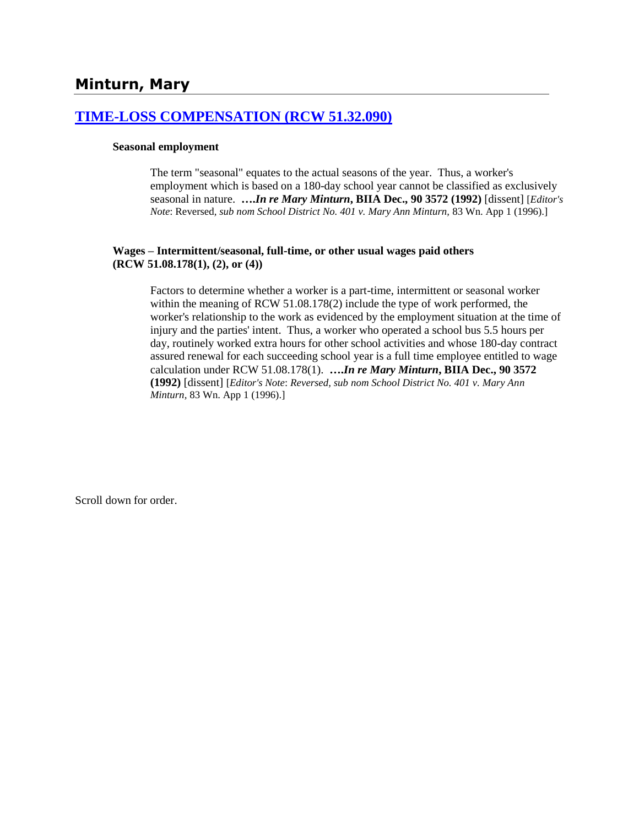## **[TIME-LOSS COMPENSATION \(RCW 51.32.090\)](http://www.biia.wa.gov/SDSubjectIndex.html#TIME_LOSS_COMPENSATION)**

#### **Seasonal employment**

The term "seasonal" equates to the actual seasons of the year. Thus, a worker's employment which is based on a 180-day school year cannot be classified as exclusively seasonal in nature. **….***In re Mary Minturn***, BIIA Dec., 90 3572 (1992)** [dissent] [*Editor's Note*: Reversed*, sub nom School District No. 401 v. Mary Ann Minturn,* 83 Wn. App 1 (1996).]

#### **Wages – Intermittent/seasonal, full-time, or other usual wages paid others (RCW 51.08.178(1), (2), or (4))**

Factors to determine whether a worker is a part-time, intermittent or seasonal worker within the meaning of RCW 51.08.178(2) include the type of work performed, the worker's relationship to the work as evidenced by the employment situation at the time of injury and the parties' intent. Thus, a worker who operated a school bus 5.5 hours per day, routinely worked extra hours for other school activities and whose 180-day contract assured renewal for each succeeding school year is a full time employee entitled to wage calculation under RCW 51.08.178(1). **….***In re Mary Minturn***, BIIA Dec., 90 3572 (1992)** [dissent] [*Editor's Note*: *Reversed, sub nom School District No. 401 v. Mary Ann Minturn,* 83 Wn. App 1 (1996).]

Scroll down for order.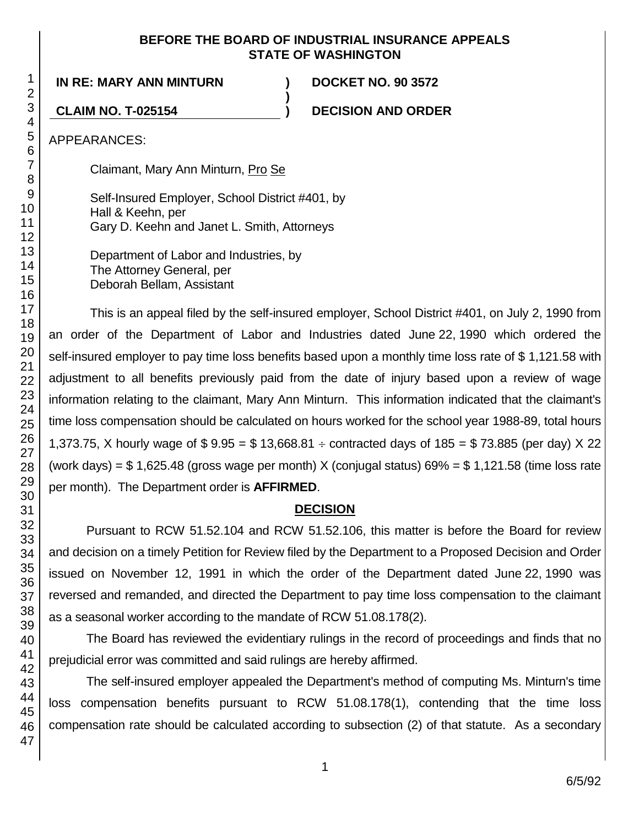#### **BEFORE THE BOARD OF INDUSTRIAL INSURANCE APPEALS STATE OF WASHINGTON**

**)**

**IN RE: MARY ANN MINTURN ) DOCKET NO. 90 3572**

**CLAIM NO. T-025154 ) DECISION AND ORDER**

APPEARANCES:

Claimant, Mary Ann Minturn, Pro Se

Self-Insured Employer, School District #401, by Hall & Keehn, per Gary D. Keehn and Janet L. Smith, Attorneys

Department of Labor and Industries, by The Attorney General, per Deborah Bellam, Assistant

This is an appeal filed by the self-insured employer, School District #401, on July 2, 1990 from an order of the Department of Labor and Industries dated June 22, 1990 which ordered the self-insured employer to pay time loss benefits based upon a monthly time loss rate of \$ 1,121.58 with adjustment to all benefits previously paid from the date of injury based upon a review of wage information relating to the claimant, Mary Ann Minturn. This information indicated that the claimant's time loss compensation should be calculated on hours worked for the school year 1988-89, total hours 1,373.75, X hourly wage of  $$ 9.95 = $ 13,668.81 \div \text{contracted days of } 185 = $ 73.885 \text{ (per day)} \times 22$ (work days) =  $$ 1,625.48$  (gross wage per month) X (conjugal status)  $69\%$  =  $$ 1,121.58$  (time loss rate per month). The Department order is **AFFIRMED**.

# **DECISION**

Pursuant to RCW 51.52.104 and RCW 51.52.106, this matter is before the Board for review and decision on a timely Petition for Review filed by the Department to a Proposed Decision and Order issued on November 12, 1991 in which the order of the Department dated June 22, 1990 was reversed and remanded, and directed the Department to pay time loss compensation to the claimant as a seasonal worker according to the mandate of RCW 51.08.178(2).

The Board has reviewed the evidentiary rulings in the record of proceedings and finds that no prejudicial error was committed and said rulings are hereby affirmed.

The self-insured employer appealed the Department's method of computing Ms. Minturn's time loss compensation benefits pursuant to RCW 51.08.178(1), contending that the time loss compensation rate should be calculated according to subsection (2) of that statute. As a secondary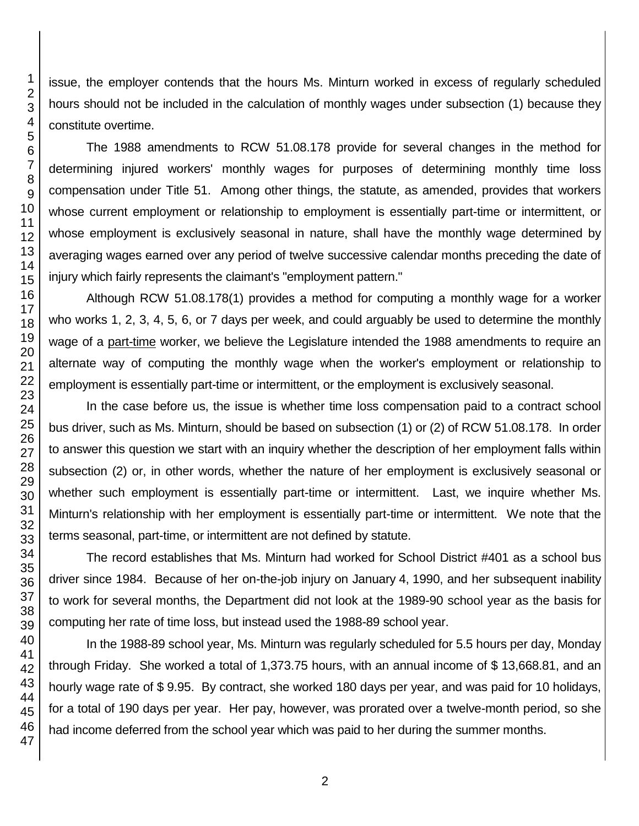issue, the employer contends that the hours Ms. Minturn worked in excess of regularly scheduled hours should not be included in the calculation of monthly wages under subsection (1) because they constitute overtime.

The 1988 amendments to RCW 51.08.178 provide for several changes in the method for determining injured workers' monthly wages for purposes of determining monthly time loss compensation under Title 51. Among other things, the statute, as amended, provides that workers whose current employment or relationship to employment is essentially part-time or intermittent, or whose employment is exclusively seasonal in nature, shall have the monthly wage determined by averaging wages earned over any period of twelve successive calendar months preceding the date of injury which fairly represents the claimant's "employment pattern."

Although RCW 51.08.178(1) provides a method for computing a monthly wage for a worker who works 1, 2, 3, 4, 5, 6, or 7 days per week, and could arguably be used to determine the monthly wage of a part-time worker, we believe the Legislature intended the 1988 amendments to require an alternate way of computing the monthly wage when the worker's employment or relationship to employment is essentially part-time or intermittent, or the employment is exclusively seasonal.

In the case before us, the issue is whether time loss compensation paid to a contract school bus driver, such as Ms. Minturn, should be based on subsection (1) or (2) of RCW 51.08.178. In order to answer this question we start with an inquiry whether the description of her employment falls within subsection (2) or, in other words, whether the nature of her employment is exclusively seasonal or whether such employment is essentially part-time or intermittent. Last, we inquire whether Ms. Minturn's relationship with her employment is essentially part-time or intermittent. We note that the terms seasonal, part-time, or intermittent are not defined by statute.

The record establishes that Ms. Minturn had worked for School District #401 as a school bus driver since 1984. Because of her on-the-job injury on January 4, 1990, and her subsequent inability to work for several months, the Department did not look at the 1989-90 school year as the basis for computing her rate of time loss, but instead used the 1988-89 school year.

In the 1988-89 school year, Ms. Minturn was regularly scheduled for 5.5 hours per day, Monday through Friday. She worked a total of 1,373.75 hours, with an annual income of \$ 13,668.81, and an hourly wage rate of \$ 9.95. By contract, she worked 180 days per year, and was paid for 10 holidays, for a total of 190 days per year. Her pay, however, was prorated over a twelve-month period, so she had income deferred from the school year which was paid to her during the summer months.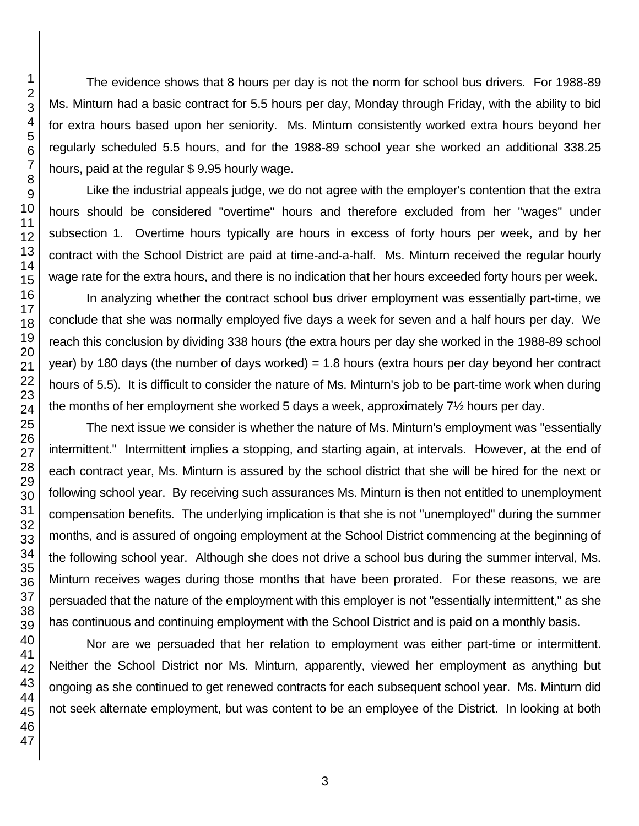The evidence shows that 8 hours per day is not the norm for school bus drivers. For 1988-89 Ms. Minturn had a basic contract for 5.5 hours per day, Monday through Friday, with the ability to bid for extra hours based upon her seniority. Ms. Minturn consistently worked extra hours beyond her regularly scheduled 5.5 hours, and for the 1988-89 school year she worked an additional 338.25 hours, paid at the regular \$ 9.95 hourly wage.

Like the industrial appeals judge, we do not agree with the employer's contention that the extra hours should be considered "overtime" hours and therefore excluded from her "wages" under subsection 1. Overtime hours typically are hours in excess of forty hours per week, and by her contract with the School District are paid at time-and-a-half. Ms. Minturn received the regular hourly wage rate for the extra hours, and there is no indication that her hours exceeded forty hours per week.

In analyzing whether the contract school bus driver employment was essentially part-time, we conclude that she was normally employed five days a week for seven and a half hours per day. We reach this conclusion by dividing 338 hours (the extra hours per day she worked in the 1988-89 school year) by 180 days (the number of days worked)  $= 1.8$  hours (extra hours per day beyond her contract hours of 5.5). It is difficult to consider the nature of Ms. Minturn's job to be part-time work when during the months of her employment she worked 5 days a week, approximately 7½ hours per day.

The next issue we consider is whether the nature of Ms. Minturn's employment was "essentially intermittent." Intermittent implies a stopping, and starting again, at intervals. However, at the end of each contract year, Ms. Minturn is assured by the school district that she will be hired for the next or following school year. By receiving such assurances Ms. Minturn is then not entitled to unemployment compensation benefits. The underlying implication is that she is not "unemployed" during the summer months, and is assured of ongoing employment at the School District commencing at the beginning of the following school year. Although she does not drive a school bus during the summer interval, Ms. Minturn receives wages during those months that have been prorated. For these reasons, we are persuaded that the nature of the employment with this employer is not "essentially intermittent," as she has continuous and continuing employment with the School District and is paid on a monthly basis.

Nor are we persuaded that her relation to employment was either part-time or intermittent. Neither the School District nor Ms. Minturn, apparently, viewed her employment as anything but ongoing as she continued to get renewed contracts for each subsequent school year. Ms. Minturn did not seek alternate employment, but was content to be an employee of the District. In looking at both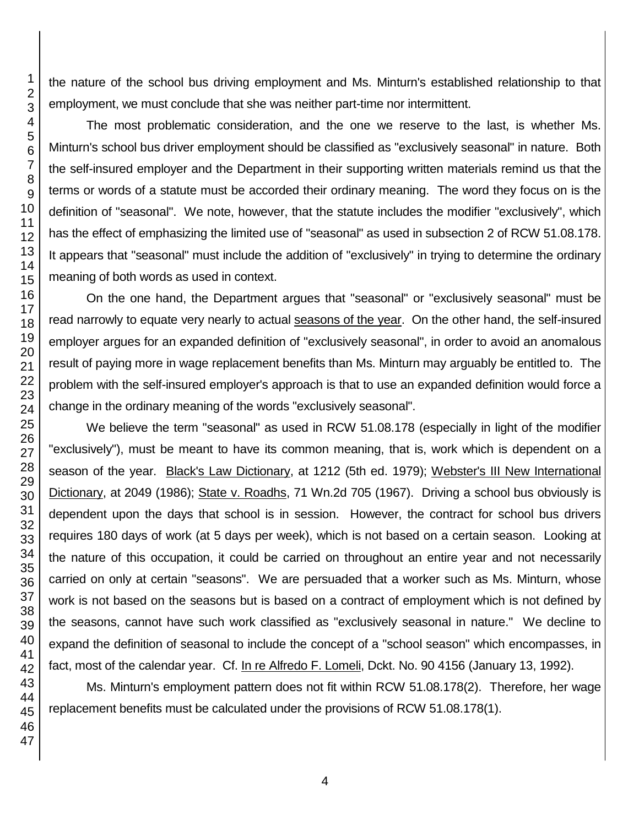the nature of the school bus driving employment and Ms. Minturn's established relationship to that employment, we must conclude that she was neither part-time nor intermittent.

The most problematic consideration, and the one we reserve to the last, is whether Ms. Minturn's school bus driver employment should be classified as "exclusively seasonal" in nature. Both the self-insured employer and the Department in their supporting written materials remind us that the terms or words of a statute must be accorded their ordinary meaning. The word they focus on is the definition of "seasonal". We note, however, that the statute includes the modifier "exclusively", which has the effect of emphasizing the limited use of "seasonal" as used in subsection 2 of RCW 51.08.178. It appears that "seasonal" must include the addition of "exclusively" in trying to determine the ordinary meaning of both words as used in context.

On the one hand, the Department argues that "seasonal" or "exclusively seasonal" must be read narrowly to equate very nearly to actual seasons of the year. On the other hand, the self-insured employer argues for an expanded definition of "exclusively seasonal", in order to avoid an anomalous result of paying more in wage replacement benefits than Ms. Minturn may arguably be entitled to. The problem with the self-insured employer's approach is that to use an expanded definition would force a change in the ordinary meaning of the words "exclusively seasonal".

We believe the term "seasonal" as used in RCW 51.08.178 (especially in light of the modifier "exclusively"), must be meant to have its common meaning, that is, work which is dependent on a season of the year. Black's Law Dictionary, at 1212 (5th ed. 1979); Webster's III New International Dictionary, at 2049 (1986); State v. Roadhs, 71 Wn.2d 705 (1967). Driving a school bus obviously is dependent upon the days that school is in session. However, the contract for school bus drivers requires 180 days of work (at 5 days per week), which is not based on a certain season. Looking at the nature of this occupation, it could be carried on throughout an entire year and not necessarily carried on only at certain "seasons". We are persuaded that a worker such as Ms. Minturn, whose work is not based on the seasons but is based on a contract of employment which is not defined by the seasons, cannot have such work classified as "exclusively seasonal in nature." We decline to expand the definition of seasonal to include the concept of a "school season" which encompasses, in fact, most of the calendar year. Cf. In re Alfredo F. Lomeli, Dckt. No. 90 4156 (January 13, 1992).

Ms. Minturn's employment pattern does not fit within RCW 51.08.178(2). Therefore, her wage replacement benefits must be calculated under the provisions of RCW 51.08.178(1).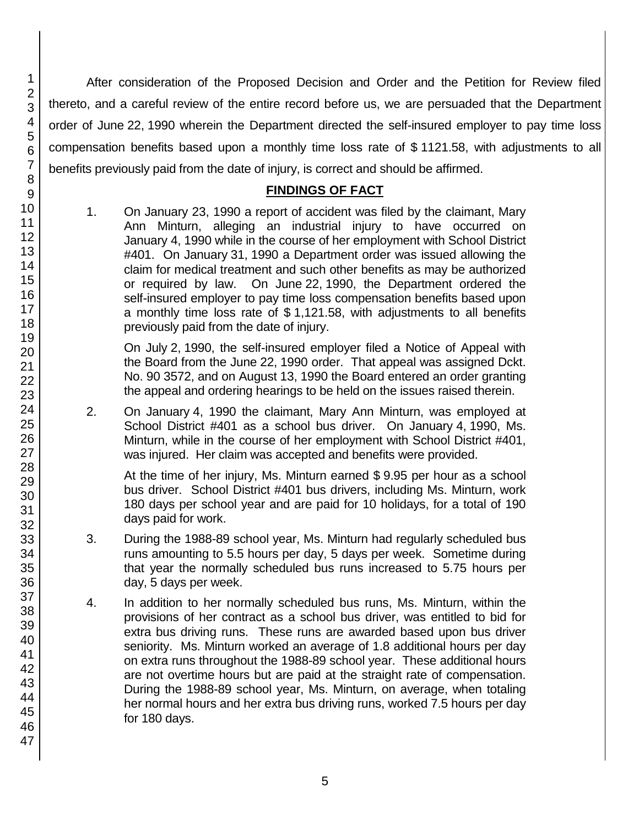After consideration of the Proposed Decision and Order and the Petition for Review filed thereto, and a careful review of the entire record before us, we are persuaded that the Department order of June 22, 1990 wherein the Department directed the self-insured employer to pay time loss compensation benefits based upon a monthly time loss rate of \$ 1121.58, with adjustments to all benefits previously paid from the date of injury, is correct and should be affirmed.

#### **FINDINGS OF FACT**

1. On January 23, 1990 a report of accident was filed by the claimant, Mary Ann Minturn, alleging an industrial injury to have occurred on January 4, 1990 while in the course of her employment with School District #401. On January 31, 1990 a Department order was issued allowing the claim for medical treatment and such other benefits as may be authorized or required by law. On June 22, 1990, the Department ordered the self-insured employer to pay time loss compensation benefits based upon a monthly time loss rate of \$ 1,121.58, with adjustments to all benefits previously paid from the date of injury.

On July 2, 1990, the self-insured employer filed a Notice of Appeal with the Board from the June 22, 1990 order. That appeal was assigned Dckt. No. 90 3572, and on August 13, 1990 the Board entered an order granting the appeal and ordering hearings to be held on the issues raised therein.

2. On January 4, 1990 the claimant, Mary Ann Minturn, was employed at School District #401 as a school bus driver. On January 4, 1990, Ms. Minturn, while in the course of her employment with School District #401, was injured. Her claim was accepted and benefits were provided.

At the time of her injury, Ms. Minturn earned \$ 9.95 per hour as a school bus driver. School District #401 bus drivers, including Ms. Minturn, work 180 days per school year and are paid for 10 holidays, for a total of 190 days paid for work.

- 3. During the 1988-89 school year, Ms. Minturn had regularly scheduled bus runs amounting to 5.5 hours per day, 5 days per week. Sometime during that year the normally scheduled bus runs increased to 5.75 hours per day, 5 days per week.
- 4. In addition to her normally scheduled bus runs, Ms. Minturn, within the provisions of her contract as a school bus driver, was entitled to bid for extra bus driving runs. These runs are awarded based upon bus driver seniority. Ms. Minturn worked an average of 1.8 additional hours per day on extra runs throughout the 1988-89 school year. These additional hours are not overtime hours but are paid at the straight rate of compensation. During the 1988-89 school year, Ms. Minturn, on average, when totaling her normal hours and her extra bus driving runs, worked 7.5 hours per day for 180 days.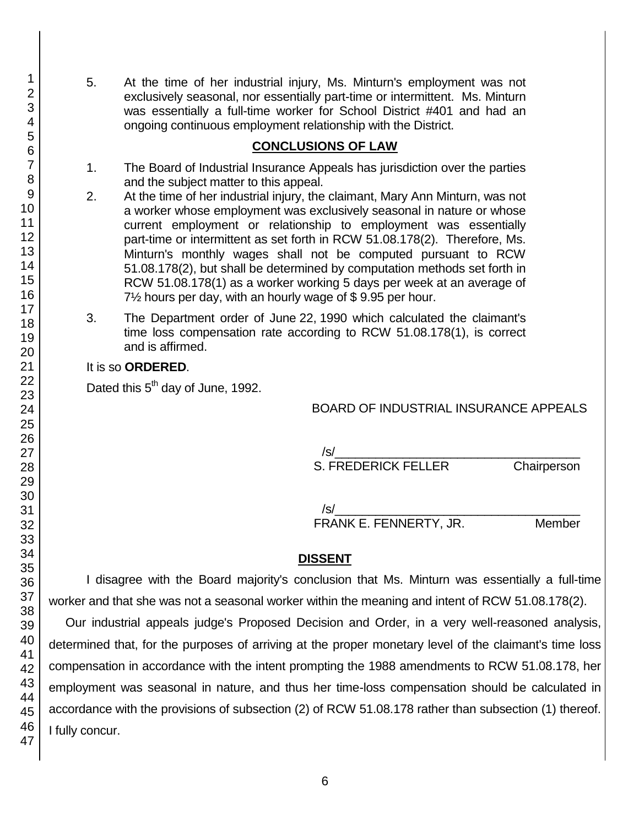5. At the time of her industrial injury, Ms. Minturn's employment was not exclusively seasonal, nor essentially part-time or intermittent. Ms. Minturn was essentially a full-time worker for School District #401 and had an ongoing continuous employment relationship with the District.

#### **CONCLUSIONS OF LAW**

- 1. The Board of Industrial Insurance Appeals has jurisdiction over the parties and the subject matter to this appeal.
- 2. At the time of her industrial injury, the claimant, Mary Ann Minturn, was not a worker whose employment was exclusively seasonal in nature or whose current employment or relationship to employment was essentially part-time or intermittent as set forth in RCW 51.08.178(2). Therefore, Ms. Minturn's monthly wages shall not be computed pursuant to RCW 51.08.178(2), but shall be determined by computation methods set forth in RCW 51.08.178(1) as a worker working 5 days per week at an average of 7½ hours per day, with an hourly wage of \$ 9.95 per hour.
- 3. The Department order of June 22, 1990 which calculated the claimant's time loss compensation rate according to RCW 51.08.178(1), is correct and is affirmed.

#### It is so **ORDERED**.

Dated this 5<sup>th</sup> day of June, 1992.

## BOARD OF INDUSTRIAL INSURANCE APPEALS

 $\sqrt{s}/\sqrt{s}$ S. FREDERICK FELLER Chairperson

/s/\_\_\_\_\_\_\_\_\_\_\_\_\_\_\_\_\_\_\_\_\_\_\_\_\_\_\_\_\_\_\_\_\_\_\_\_ FRANK E. FENNERTY, JR. Member

## **DISSENT**

I disagree with the Board majority's conclusion that Ms. Minturn was essentially a full-time worker and that she was not a seasonal worker within the meaning and intent of RCW 51.08.178(2).

 Our industrial appeals judge's Proposed Decision and Order, in a very well-reasoned analysis, determined that, for the purposes of arriving at the proper monetary level of the claimant's time loss compensation in accordance with the intent prompting the 1988 amendments to RCW 51.08.178, her employment was seasonal in nature, and thus her time-loss compensation should be calculated in accordance with the provisions of subsection (2) of RCW 51.08.178 rather than subsection (1) thereof. I fully concur.